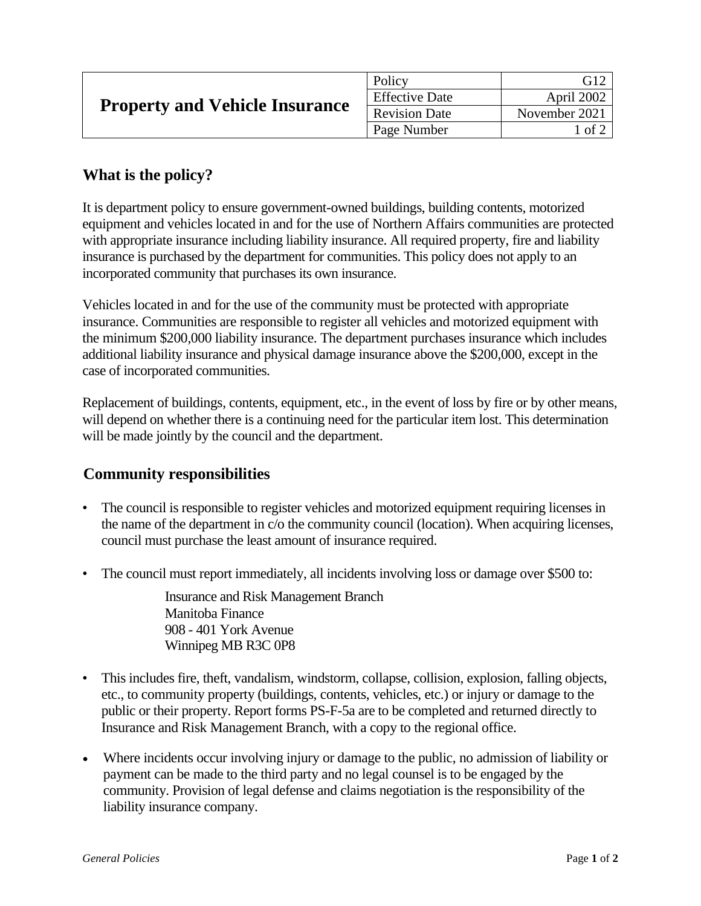| <b>Property and Vehicle Insurance</b> | Policy                | G12           |
|---------------------------------------|-----------------------|---------------|
|                                       | <b>Effective Date</b> | April 2002    |
|                                       | <b>Revision Date</b>  | November 2021 |
|                                       | Page Number           | l of 2        |

## **What is the policy?**

It is department policy to ensure government-owned buildings, building contents, motorized equipment and vehicles located in and for the use of Northern Affairs communities are protected with appropriate insurance including liability insurance. All required property, fire and liability insurance is purchased by the department for communities. This policy does not apply to an incorporated community that purchases its own insurance.

Vehicles located in and for the use of the community must be protected with appropriate insurance. Communities are responsible to register all vehicles and motorized equipment with the minimum \$200,000 liability insurance. The department purchases insurance which includes additional liability insurance and physical damage insurance above the \$200,000, except in the case of incorporated communities.

Replacement of buildings, contents, equipment, etc., in the event of loss by fire or by other means, will depend on whether there is a continuing need for the particular item lost. This determination will be made jointly by the council and the department.

## **Community responsibilities**

- The council is responsible to register vehicles and motorized equipment requiring licenses in the name of the department in c/o the community council (location). When acquiring licenses, council must purchase the least amount of insurance required.
- The council must report immediately, all incidents involving loss or damage over \$500 to:

Insurance and Risk Management Branch Manitoba Finance 908 - 401 York Avenue Winnipeg MB R3C 0P8

- This includes fire, theft, vandalism, windstorm, collapse, collision, explosion, falling objects, etc., to community property (buildings, contents, vehicles, etc.) or injury or damage to the public or their property. Report forms PS-F-5a are to be completed and returned directly to Insurance and Risk Management Branch, with a copy to the regional office.
- Where incidents occur involving injury or damage to the public, no admission of liability or payment can be made to the third party and no legal counsel is to be engaged by the community. Provision of legal defense and claims negotiation is the responsibility of the liability insurance company.